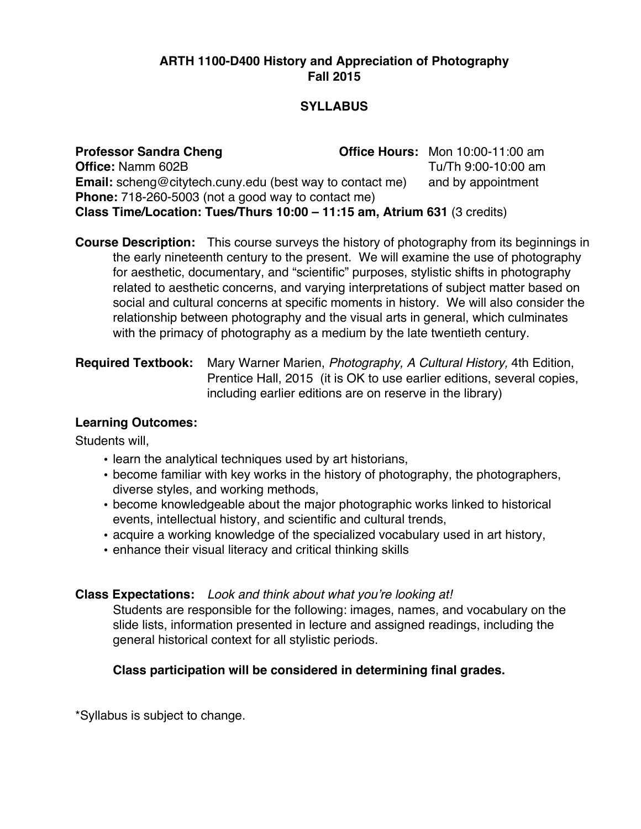#### **ARTH 1100-D400 History and Appreciation of Photography Fall 2015**

#### **SYLLABUS**

**Professor Sandra Cheng Office Hours:** Mon 10:00-11:00 am **Office:** Namm 602B Tu/Th 9:00-10:00 am **Email:** scheng@citytech.cuny.edu (best way to contact me) and by appointment **Phone:** 718-260-5003 (not a good way to contact me) **Class Time/Location: Tues/Thurs 10:00 – 11:15 am, Atrium 631** (3 credits)

**Course Description:** This course surveys the history of photography from its beginnings in the early nineteenth century to the present. We will examine the use of photography for aesthetic, documentary, and "scientific" purposes, stylistic shifts in photography related to aesthetic concerns, and varying interpretations of subject matter based on social and cultural concerns at specific moments in history. We will also consider the relationship between photography and the visual arts in general, which culminates with the primacy of photography as a medium by the late twentieth century.

#### **Required Textbook:** Mary Warner Marien, *Photography, A Cultural History,* 4th Edition, Prentice Hall, 2015 (it is OK to use earlier editions, several copies, including earlier editions are on reserve in the library)

#### **Learning Outcomes:**

Students will,

- learn the analytical techniques used by art historians,
- become familiar with key works in the history of photography, the photographers, diverse styles, and working methods,
- become knowledgeable about the major photographic works linked to historical events, intellectual history, and scientific and cultural trends,
- acquire a working knowledge of the specialized vocabulary used in art history,
- enhance their visual literacy and critical thinking skills

#### **Class Expectations:** *Look and think about what you're looking at!*

Students are responsible for the following: images, names, and vocabulary on the slide lists, information presented in lecture and assigned readings, including the general historical context for all stylistic periods.

### **Class participation will be considered in determining final grades.**

\*Syllabus is subject to change.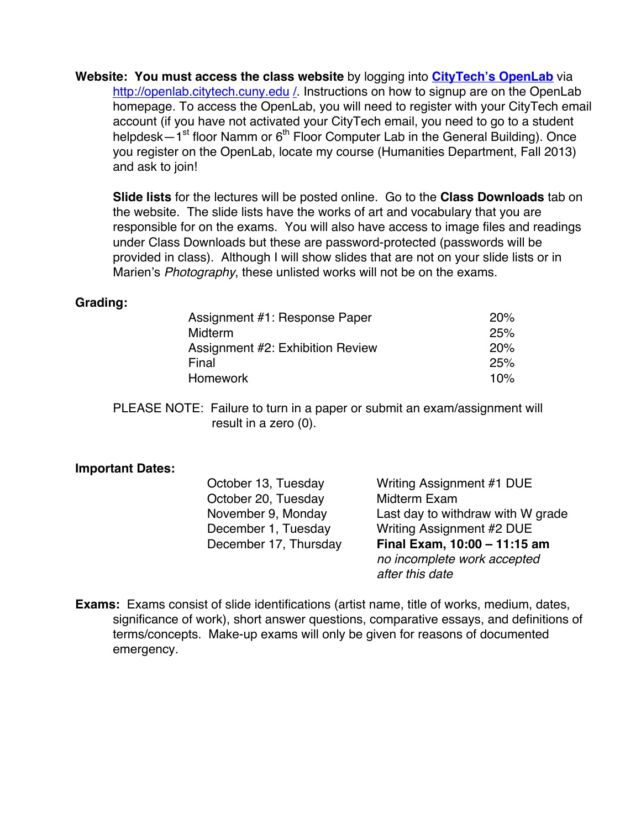**Website: You must access the class website** by logging into **CityTech's OpenLab** via http://openlab.citytech.cuny.edu /. Instructions on how to signup are on the OpenLab homepage. To access the OpenLab, you will need to register with your CityTech email account (if you have not activated your CityTech email, you need to go to a student helpdesk $-1$ <sup>st</sup> floor Namm or  $6<sup>th</sup>$  Floor Computer Lab in the General Building). Once you register on the OpenLab, locate my course (Humanities Department, Fall 2013) and ask to join!

**Slide lists** for the lectures will be posted online. Go to the **Class Downloads** tab on the website. The slide lists have the works of art and vocabulary that you are responsible for on the exams. You will also have access to image files and readings under Class Downloads but these are password-protected (passwords will be provided in class). Although I will show slides that are not on your slide lists or in Marien's *Photography*, these unlisted works will not be on the exams.

#### **Grading:**

| Assignment #1: Response Paper    | 20% |
|----------------------------------|-----|
| Midterm                          | 25% |
| Assignment #2: Exhibition Review | 20% |
| Final                            | 25% |
| Homework                         | 10% |

PLEASE NOTE: Failure to turn in a paper or submit an exam/assignment will result in a zero (0).

#### **Important Dates:**

October 20, Tuesday Midterm Exam

October 13, Tuesday Writing Assignment #1 DUE November 9, Monday Last day to withdraw with W grade December 1, Tuesday Writing Assignment #2 DUE December 17, Thursday **Final Exam, 10:00 – 11:15 am** *no incomplete work accepted after this date*

**Exams:** Exams consist of slide identifications (artist name, title of works, medium, dates, significance of work), short answer questions, comparative essays, and definitions of terms/concepts. Make-up exams will only be given for reasons of documented emergency.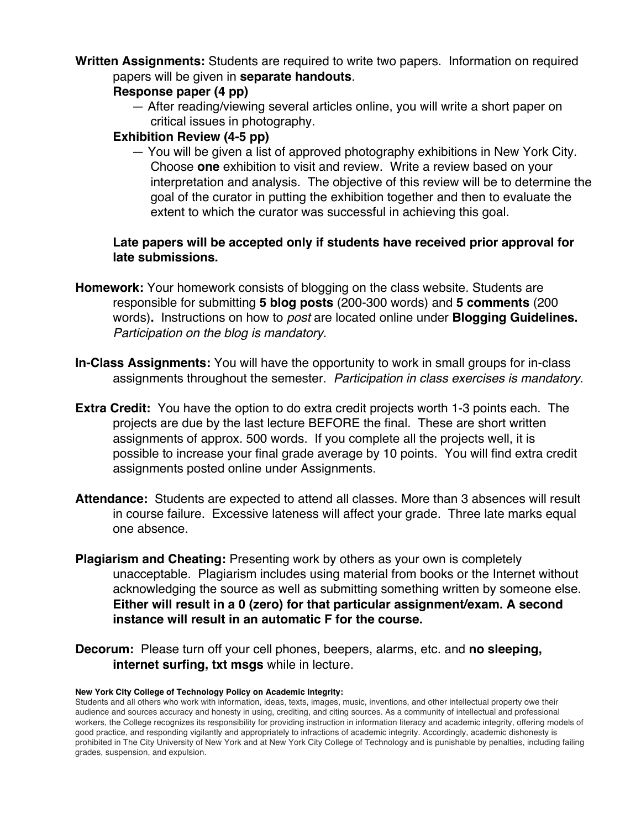**Written Assignments:** Students are required to write two papers. Information on required papers will be given in **separate handouts**.

#### **Response paper (4 pp)**

— After reading/viewing several articles online, you will write a short paper on critical issues in photography.

#### **Exhibition Review (4-5 pp)**

— You will be given a list of approved photography exhibitions in New York City. Choose **one** exhibition to visit and review. Write a review based on your interpretation and analysis. The objective of this review will be to determine the goal of the curator in putting the exhibition together and then to evaluate the extent to which the curator was successful in achieving this goal.

#### **Late papers will be accepted only if students have received prior approval for late submissions.**

- **Homework:** Your homework consists of blogging on the class website. Students are responsible for submitting **5 blog posts** (200-300 words) and **5 comments** (200 words)**.** Instructions on how to *post* are located online under **Blogging Guidelines.**  *Participation on the blog is mandatory.*
- **In-Class Assignments:** You will have the opportunity to work in small groups for in-class assignments throughout the semester. *Participation in class exercises is mandatory.*
- **Extra Credit:** You have the option to do extra credit projects worth 1-3 points each. The projects are due by the last lecture BEFORE the final. These are short written assignments of approx. 500 words. If you complete all the projects well, it is possible to increase your final grade average by 10 points. You will find extra credit assignments posted online under Assignments.
- **Attendance:** Students are expected to attend all classes. More than 3 absences will result in course failure. Excessive lateness will affect your grade. Three late marks equal one absence.
- **Plagiarism and Cheating:** Presenting work by others as your own is completely unacceptable. Plagiarism includes using material from books or the Internet without acknowledging the source as well as submitting something written by someone else. **Either will result in a 0 (zero) for that particular assignment/exam. A second instance will result in an automatic F for the course.**
- **Decorum:** Please turn off your cell phones, beepers, alarms, etc. and **no sleeping, internet surfing, txt msgs** while in lecture.

#### **New York City College of Technology Policy on Academic Integrity:**

Students and all others who work with information, ideas, texts, images, music, inventions, and other intellectual property owe their audience and sources accuracy and honesty in using, crediting, and citing sources. As a community of intellectual and professional workers, the College recognizes its responsibility for providing instruction in information literacy and academic integrity, offering models of good practice, and responding vigilantly and appropriately to infractions of academic integrity. Accordingly, academic dishonesty is prohibited in The City University of New York and at New York City College of Technology and is punishable by penalties, including failing grades, suspension, and expulsion.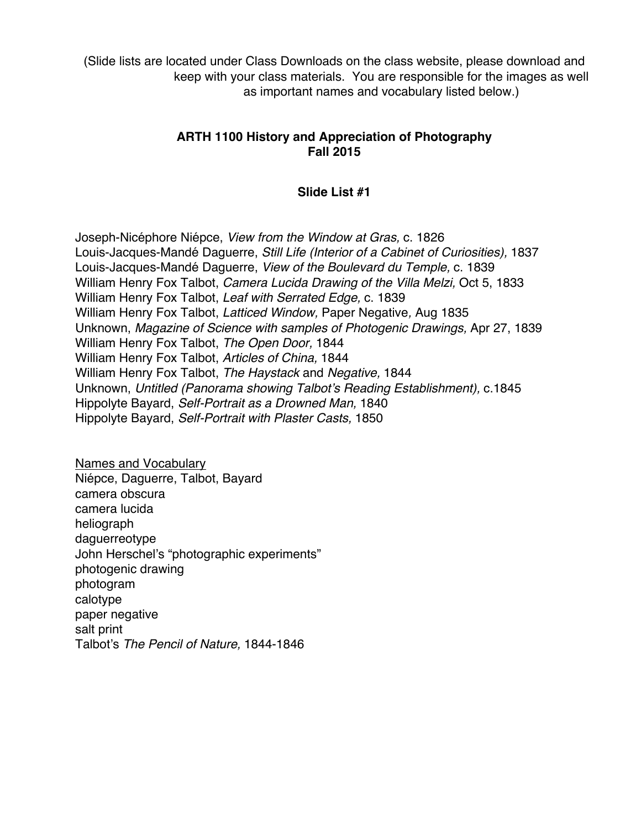(Slide lists are located under Class Downloads on the class website, please download and keep with your class materials. You are responsible for the images as well as important names and vocabulary listed below.)

#### **ARTH 1100 History and Appreciation of Photography Fall 2015**

#### **Slide List #1**

Joseph-Nicéphore Niépce, *View from the Window at Gras,* c. 1826 Louis-Jacques-Mandé Daguerre, *Still Life (Interior of a Cabinet of Curiosities),* 1837 Louis-Jacques-Mandé Daguerre, *View of the Boulevard du Temple,* c. 1839 William Henry Fox Talbot, *Camera Lucida Drawing of the Villa Melzi,* Oct 5, 1833 William Henry Fox Talbot, *Leaf with Serrated Edge,* c. 1839 William Henry Fox Talbot, *Latticed Window,* Paper Negative*,* Aug 1835 Unknown, *Magazine of Science with samples of Photogenic Drawings,* Apr 27, 1839 William Henry Fox Talbot, *The Open Door,* 1844 William Henry Fox Talbot, *Articles of China,* 1844 William Henry Fox Talbot, *The Haystack* and *Negative,* 1844 Unknown, *Untitled (Panorama showing Talbot's Reading Establishment),* c.1845 Hippolyte Bayard, *Self-Portrait as a Drowned Man,* 1840 Hippolyte Bayard, *Self-Portrait with Plaster Casts,* 1850

Names and Vocabulary Niépce, Daguerre, Talbot, Bayard camera obscura camera lucida heliograph daguerreotype John Herschel's "photographic experiments" photogenic drawing photogram calotype paper negative salt print Talbot's *The Pencil of Nature,* 1844-1846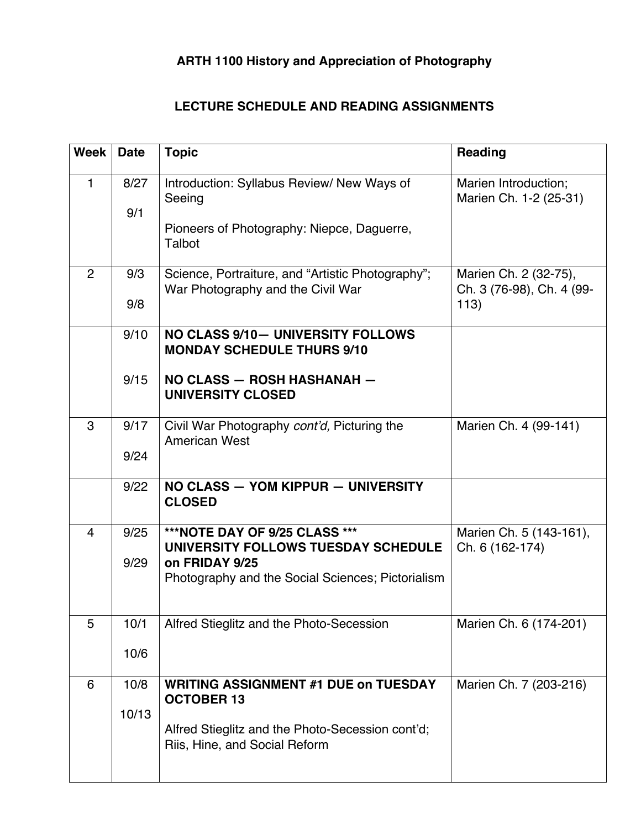# **ARTH 1100 History and Appreciation of Photography**

## **LECTURE SCHEDULE AND READING ASSIGNMENTS**

| <b>Week</b>    | <b>Date</b> | <b>Topic</b>                                                                           | <b>Reading</b>                                             |
|----------------|-------------|----------------------------------------------------------------------------------------|------------------------------------------------------------|
| $\mathbf{1}$   | 8/27<br>9/1 | Introduction: Syllabus Review/ New Ways of<br>Seeing                                   | Marien Introduction;<br>Marien Ch. 1-2 (25-31)             |
|                |             | Pioneers of Photography: Niepce, Daguerre,<br>Talbot                                   |                                                            |
| $\overline{2}$ | 9/3<br>9/8  | Science, Portraiture, and "Artistic Photography";<br>War Photography and the Civil War | Marien Ch. 2 (32-75),<br>Ch. 3 (76-98), Ch. 4 (99-<br>113) |
|                |             |                                                                                        |                                                            |
|                | 9/10        | NO CLASS 9/10- UNIVERSITY FOLLOWS<br><b>MONDAY SCHEDULE THURS 9/10</b>                 |                                                            |
|                | 9/15        | NO CLASS - ROSH HASHANAH -<br><b>UNIVERSITY CLOSED</b>                                 |                                                            |
| 3              | 9/17        | Civil War Photography cont'd, Picturing the<br><b>American West</b>                    | Marien Ch. 4 (99-141)                                      |
|                | 9/24        |                                                                                        |                                                            |
|                | 9/22        | NO CLASS - YOM KIPPUR - UNIVERSITY<br><b>CLOSED</b>                                    |                                                            |
| $\overline{4}$ | 9/25        | ***NOTE DAY OF 9/25 CLASS ***<br>UNIVERSITY FOLLOWS TUESDAY SCHEDULE                   | Marien Ch. 5 (143-161),<br>Ch. 6 (162-174)                 |
|                | 9/29        | on FRIDAY 9/25<br>Photography and the Social Sciences; Pictorialism                    |                                                            |
|                |             |                                                                                        |                                                            |
| 5              | 10/1        | Alfred Stieglitz and the Photo-Secession                                               | Marien Ch. 6 (174-201)                                     |
|                | 10/6        |                                                                                        |                                                            |
| 6              | 10/8        | <b>WRITING ASSIGNMENT #1 DUE on TUESDAY</b><br><b>OCTOBER 13</b>                       | Marien Ch. 7 (203-216)                                     |
|                | 10/13       |                                                                                        |                                                            |
|                |             | Alfred Stieglitz and the Photo-Secession cont'd;<br>Riis, Hine, and Social Reform      |                                                            |